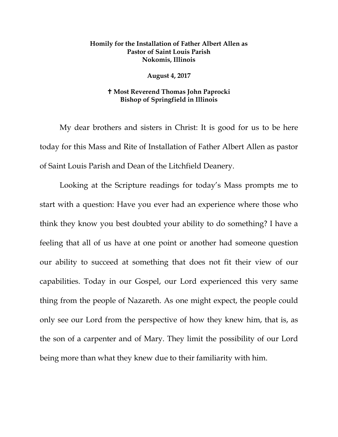## **Homily for the Installation of Father Albert Allen as Pastor of Saint Louis Parish Nokomis, Illinois**

## **August 4, 2017**

## **Most Reverend Thomas John Paprocki Bishop of Springfield in Illinois**

My dear brothers and sisters in Christ: It is good for us to be here today for this Mass and Rite of Installation of Father Albert Allen as pastor of Saint Louis Parish and Dean of the Litchfield Deanery.

Looking at the Scripture readings for today's Mass prompts me to start with a question: Have you ever had an experience where those who think they know you best doubted your ability to do something? I have a feeling that all of us have at one point or another had someone question our ability to succeed at something that does not fit their view of our capabilities. Today in our Gospel, our Lord experienced this very same thing from the people of Nazareth. As one might expect, the people could only see our Lord from the perspective of how they knew him, that is, as the son of a carpenter and of Mary. They limit the possibility of our Lord being more than what they knew due to their familiarity with him.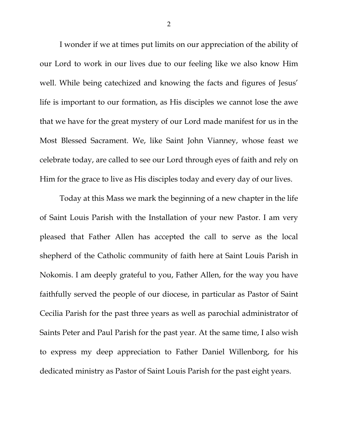I wonder if we at times put limits on our appreciation of the ability of our Lord to work in our lives due to our feeling like we also know Him well. While being catechized and knowing the facts and figures of Jesus' life is important to our formation, as His disciples we cannot lose the awe that we have for the great mystery of our Lord made manifest for us in the Most Blessed Sacrament. We, like Saint John Vianney, whose feast we celebrate today, are called to see our Lord through eyes of faith and rely on Him for the grace to live as His disciples today and every day of our lives.

Today at this Mass we mark the beginning of a new chapter in the life of Saint Louis Parish with the Installation of your new Pastor. I am very pleased that Father Allen has accepted the call to serve as the local shepherd of the Catholic community of faith here at Saint Louis Parish in Nokomis. I am deeply grateful to you, Father Allen, for the way you have faithfully served the people of our diocese, in particular as Pastor of Saint Cecilia Parish for the past three years as well as parochial administrator of Saints Peter and Paul Parish for the past year. At the same time, I also wish to express my deep appreciation to Father Daniel Willenborg, for his dedicated ministry as Pastor of Saint Louis Parish for the past eight years.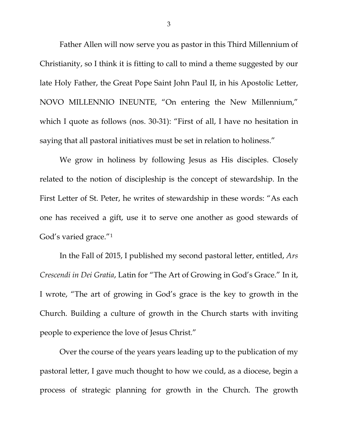Father Allen will now serve you as pastor in this Third Millennium of Christianity, so I think it is fitting to call to mind a theme suggested by our late Holy Father, the Great Pope Saint John Paul II, in his Apostolic Letter, NOVO MILLENNIO INEUNTE, "On entering the New Millennium," which I quote as follows (nos. 30-31): "First of all, I have no hesitation in saying that all pastoral initiatives must be set in relation to holiness."

We grow in holiness by following Jesus as His disciples. Closely related to the notion of discipleship is the concept of stewardship. In the First Letter of St. Peter, he writes of stewardship in these words: "As each one has received a gift, use it to serve one another as good stewards of God's varied grace."[1](#page-6-0)

In the Fall of 2015, I published my second pastoral letter, entitled, *Ars Crescendi in Dei Gratia*, Latin for "The Art of Growing in God's Grace." In it, I wrote, "The art of growing in God's grace is the key to growth in the Church. Building a culture of growth in the Church starts with inviting people to experience the love of Jesus Christ."

Over the course of the years years leading up to the publication of my pastoral letter, I gave much thought to how we could, as a diocese, begin a process of strategic planning for growth in the Church. The growth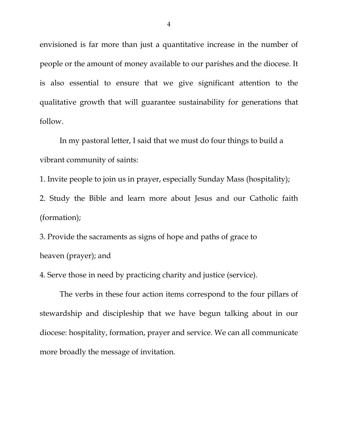envisioned is far more than just a quantitative increase in the number of people or the amount of money available to our parishes and the diocese. It is also essential to ensure that we give significant attention to the qualitative growth that will guarantee sustainability for generations that follow.

In my pastoral letter, I said that we must do four things to build a vibrant community of saints:

1. Invite people to join us in prayer, especially Sunday Mass (hospitality);

2. Study the Bible and learn more about Jesus and our Catholic faith (formation);

3. Provide the sacraments as signs of hope and paths of grace to heaven (prayer); and

4. Serve those in need by practicing charity and justice (service).

The verbs in these four action items correspond to the four pillars of stewardship and discipleship that we have begun talking about in our diocese: hospitality, formation, prayer and service. We can all communicate more broadly the message of invitation.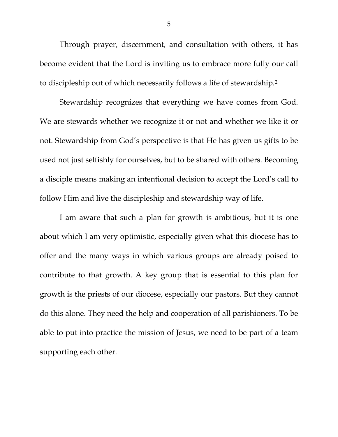Through prayer, discernment, and consultation with others, it has become evident that the Lord is inviting us to embrace more fully our call to discipleship out of which necessarily follows a life of stewardship.[2](#page-6-1)

Stewardship recognizes that everything we have comes from God. We are stewards whether we recognize it or not and whether we like it or not. Stewardship from God's perspective is that He has given us gifts to be used not just selfishly for ourselves, but to be shared with others. Becoming a disciple means making an intentional decision to accept the Lord's call to follow Him and live the discipleship and stewardship way of life.

I am aware that such a plan for growth is ambitious, but it is one about which I am very optimistic, especially given what this diocese has to offer and the many ways in which various groups are already poised to contribute to that growth. A key group that is essential to this plan for growth is the priests of our diocese, especially our pastors. But they cannot do this alone. They need the help and cooperation of all parishioners. To be able to put into practice the mission of Jesus, we need to be part of a team supporting each other.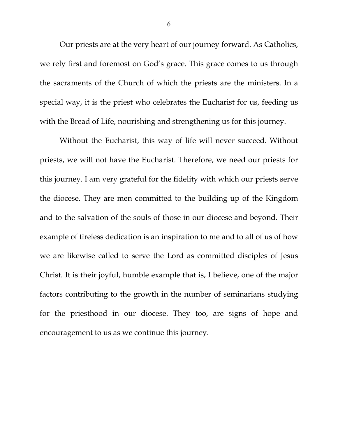Our priests are at the very heart of our journey forward. As Catholics, we rely first and foremost on God's grace. This grace comes to us through the sacraments of the Church of which the priests are the ministers. In a special way, it is the priest who celebrates the Eucharist for us, feeding us with the Bread of Life, nourishing and strengthening us for this journey.

Without the Eucharist, this way of life will never succeed. Without priests, we will not have the Eucharist. Therefore, we need our priests for this journey. I am very grateful for the fidelity with which our priests serve the diocese. They are men committed to the building up of the Kingdom and to the salvation of the souls of those in our diocese and beyond. Their example of tireless dedication is an inspiration to me and to all of us of how we are likewise called to serve the Lord as committed disciples of Jesus Christ. It is their joyful, humble example that is, I believe, one of the major factors contributing to the growth in the number of seminarians studying for the priesthood in our diocese. They too, are signs of hope and encouragement to us as we continue this journey.